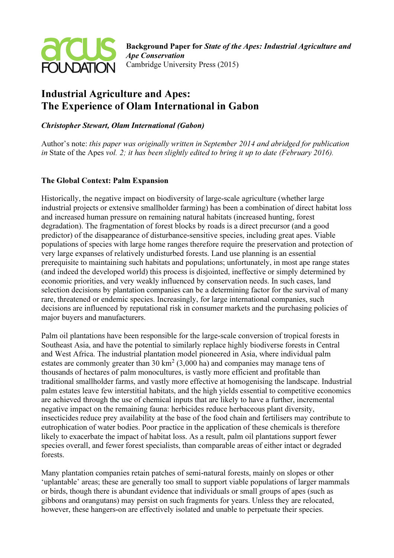

# Industrial Agriculture and Apes: The Experience of Olam International in Gabon

# Christopher Stewart, Olam International (Gabon)

Author's note: this paper was originally written in September 2014 and abridged for publication in State of the Apes vol. 2; it has been slightly edited to bring it up to date (February 2016).

# The Global Context: Palm Expansion

Historically, the negative impact on biodiversity of large-scale agriculture (whether large industrial projects or extensive smallholder farming) has been a combination of direct habitat loss and increased human pressure on remaining natural habitats (increased hunting, forest degradation). The fragmentation of forest blocks by roads is a direct precursor (and a good predictor) of the disappearance of disturbance-sensitive species, including great apes. Viable populations of species with large home ranges therefore require the preservation and protection of very large expanses of relatively undisturbed forests. Land use planning is an essential prerequisite to maintaining such habitats and populations; unfortunately, in most ape range states (and indeed the developed world) this process is disjointed, ineffective or simply determined by economic priorities, and very weakly influenced by conservation needs. In such cases, land selection decisions by plantation companies can be a determining factor for the survival of many rare, threatened or endemic species. Increasingly, for large international companies, such decisions are influenced by reputational risk in consumer markets and the purchasing policies of major buyers and manufacturers.

Palm oil plantations have been responsible for the large-scale conversion of tropical forests in Southeast Asia, and have the potential to similarly replace highly biodiverse forests in Central and West Africa. The industrial plantation model pioneered in Asia, where individual palm estates are commonly greater than 30  $\text{km}^2$  (3,000 ha) and companies may manage tens of thousands of hectares of palm monocultures, is vastly more efficient and profitable than traditional smallholder farms, and vastly more effective at homogenising the landscape. Industrial palm estates leave few interstitial habitats, and the high yields essential to competitive economics are achieved through the use of chemical inputs that are likely to have a further, incremental negative impact on the remaining fauna: herbicides reduce herbaceous plant diversity, insecticides reduce prey availability at the base of the food chain and fertilisers may contribute to eutrophication of water bodies. Poor practice in the application of these chemicals is therefore likely to exacerbate the impact of habitat loss. As a result, palm oil plantations support fewer species overall, and fewer forest specialists, than comparable areas of either intact or degraded forests.

Many plantation companies retain patches of semi-natural forests, mainly on slopes or other 'uplantable' areas; these are generally too small to support viable populations of larger mammals or birds, though there is abundant evidence that individuals or small groups of apes (such as gibbons and orangutans) may persist on such fragments for years. Unless they are relocated, however, these hangers-on are effectively isolated and unable to perpetuate their species.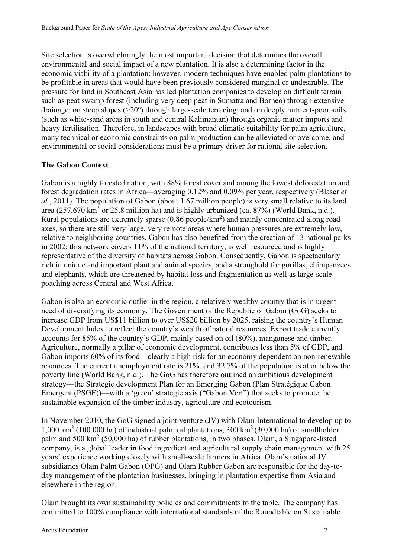Site selection is overwhelmingly the most important decision that determines the overall environmental and social impact of a new plantation. It is also a determining factor in the economic viability of a plantation; however, modern techniques have enabled palm plantations to be profitable in areas that would have been previously considered marginal or undesirable. The pressure for land in Southeast Asia has led plantation companies to develop on difficult terrain such as peat swamp forest (including very deep peat in Sumatra and Borneo) through extensive drainage; on steep slopes (>20°) through large-scale terracing; and on deeply nutrient-poor soils (such as white-sand areas in south and central Kalimantan) through organic matter imports and heavy fertilisation. Therefore, in landscapes with broad climatic suitability for palm agriculture, many technical or economic constraints on palm production can be alleviated or overcome, and environmental or social considerations must be a primary driver for rational site selection.

#### The Gabon Context

Gabon is a highly forested nation, with 88% forest cover and among the lowest deforestation and forest degradation rates in Africa—averaging 0.12% and 0.09% per year, respectively (Blaser et al., 2011). The population of Gabon (about 1.67 million people) is very small relative to its land area (257,670 km<sup>2</sup> or 25.8 million ha) and is highly urbanized (ca. 87%) (World Bank, n.d.). Rural populations are extremely sparse (0.86 people/km<sup>2</sup>) and mainly concentrated along road axes, so there are still very large, very remote areas where human pressures are extremely low, relative to neighboring countries. Gabon has also benefited from the creation of 13 national parks in 2002; this network covers 11% of the national territory, is well resourced and is highly representative of the diversity of habitats across Gabon. Consequently, Gabon is spectacularly rich in unique and important plant and animal species, and a stronghold for gorillas, chimpanzees and elephants, which are threatened by habitat loss and fragmentation as well as large-scale poaching across Central and West Africa.

Gabon is also an economic outlier in the region, a relatively wealthy country that is in urgent need of diversifying its economy. The Government of the Republic of Gabon (GoG) seeks to increase GDP from US\$11 billion to over US\$20 billion by 2025, raising the country's Human Development Index to reflect the country's wealth of natural resources. Export trade currently accounts for 85% of the country's GDP, mainly based on oil (80%), manganese and timber. Agriculture, normally a pillar of economic development, contributes less than 5% of GDP, and Gabon imports 60% of its food—clearly a high risk for an economy dependent on non-renewable resources. The current unemployment rate is 21%, and 32.7% of the population is at or below the poverty line (World Bank, n.d.). The GoG has therefore outlined an ambitious development strategy—the Strategic development Plan for an Emerging Gabon (Plan Stratégique Gabon Emergent (PSGE))—with a 'green' strategic axis ("Gabon Vert") that seeks to promote the sustainable expansion of the timber industry, agriculture and ecotourism.

In November 2010, the GoG signed a joint venture (JV) with Olam International to develop up to 1,000 km<sup>2</sup> (100,000 ha) of industrial palm oil plantations, 300 km<sup>2</sup>(30,000 ha) of smallholder palm and 500 km<sup>2</sup> (50,000 ha) of rubber plantations, in two phases. Olam, a Singapore-listed company, is a global leader in food ingredient and agricultural supply chain management with 25 years' experience working closely with small-scale farmers in Africa. Olam's national JV subsidiaries Olam Palm Gabon (OPG) and Olam Rubber Gabon are responsible for the day-today management of the plantation businesses, bringing in plantation expertise from Asia and elsewhere in the region.

Olam brought its own sustainability policies and commitments to the table. The company has committed to 100% compliance with international standards of the Roundtable on Sustainable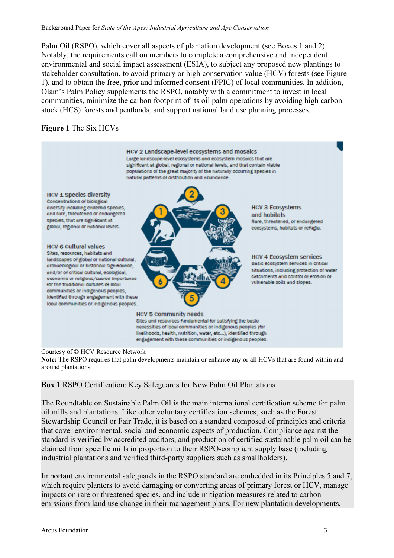Palm Oil (RSPO), which cover all aspects of plantation development (see Boxes 1 and 2). Notably, the requirements call on members to complete a comprehensive and independent environmental and social impact assessment (ESIA), to subject any proposed new plantings to stakeholder consultation, to avoid primary or high conservation value (HCV) forests (see Figure 1), and to obtain the free, prior and informed consent (FPIC) of local communities. In addition, Olam's Palm Policy supplements the RSPO, notably with a commitment to invest in local communities, minimize the carbon footprint of its oil palm operations by avoiding high carbon stock (HCS) forests and peatlands, and support national land use planning processes.

# Figure 1 The Six HCVs



#### Courtesy of © HCV Resource Network

Note: The RSPO requires that palm developments maintain or enhance any or all HCVs that are found within and around plantations.

# Box 1 RSPO Certification: Key Safeguards for New Palm Oil Plantations

The Roundtable on Sustainable Palm Oil is the main international certification scheme for palm oil mills and plantations. Like other voluntary certification schemes, such as the Forest Stewardship Council or Fair Trade, it is based on a standard composed of principles and criteria that cover environmental, social and economic aspects of production. Compliance against the standard is verified by accredited auditors, and production of certified sustainable palm oil can be claimed from specific mills in proportion to their RSPO-compliant supply base (including industrial plantations and verified third-party suppliers such as smallholders).

Important environmental safeguards in the RSPO standard are embedded in its Principles 5 and 7, which require planters to avoid damaging or converting areas of primary forest or HCV, manage impacts on rare or threatened species, and include mitigation measures related to carbon emissions from land use change in their management plans. For new plantation developments,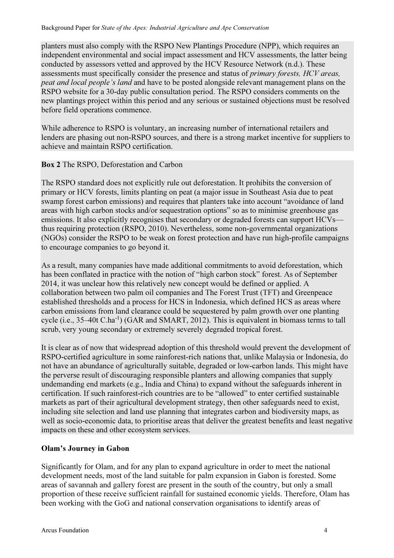planters must also comply with the RSPO New Plantings Procedure (NPP), which requires an independent environmental and social impact assessment and HCV assessments, the latter being conducted by assessors vetted and approved by the HCV Resource Network (n.d.). These assessments must specifically consider the presence and status of primary forests, HCV areas, peat and local people's land and have to be posted alongside relevant management plans on the RSPO website for a 30-day public consultation period. The RSPO considers comments on the new plantings project within this period and any serious or sustained objections must be resolved before field operations commence.

While adherence to RSPO is voluntary, an increasing number of international retailers and lenders are phasing out non-RSPO sources, and there is a strong market incentive for suppliers to achieve and maintain RSPO certification.

# Box 2 The RSPO, Deforestation and Carbon

The RSPO standard does not explicitly rule out deforestation. It prohibits the conversion of primary or HCV forests, limits planting on peat (a major issue in Southeast Asia due to peat swamp forest carbon emissions) and requires that planters take into account "avoidance of land areas with high carbon stocks and/or sequestration options" so as to minimise greenhouse gas emissions. It also explicitly recognises that secondary or degraded forests can support HCVs thus requiring protection (RSPO, 2010). Nevertheless, some non-governmental organizations (NGOs) consider the RSPO to be weak on forest protection and have run high-profile campaigns to encourage companies to go beyond it.

As a result, many companies have made additional commitments to avoid deforestation, which has been conflated in practice with the notion of "high carbon stock" forest. As of September 2014, it was unclear how this relatively new concept would be defined or applied. A collaboration between two palm oil companies and The Forest Trust (TFT) and Greenpeace established thresholds and a process for HCS in Indonesia, which defined HCS as areas where carbon emissions from land clearance could be sequestered by palm growth over one planting cycle (i.e., 35–40t C.ha-1) (GAR and SMART, 2012). This is equivalent in biomass terms to tall scrub, very young secondary or extremely severely degraded tropical forest.

It is clear as of now that widespread adoption of this threshold would prevent the development of RSPO-certified agriculture in some rainforest-rich nations that, unlike Malaysia or Indonesia, do not have an abundance of agriculturally suitable, degraded or low-carbon lands. This might have the perverse result of discouraging responsible planters and allowing companies that supply undemanding end markets (e.g., India and China) to expand without the safeguards inherent in certification. If such rainforest-rich countries are to be "allowed" to enter certified sustainable markets as part of their agricultural development strategy, then other safeguards need to exist, including site selection and land use planning that integrates carbon and biodiversity maps, as well as socio-economic data, to prioritise areas that deliver the greatest benefits and least negative impacts on these and other ecosystem services.

# Olam's Journey in Gabon

Significantly for Olam, and for any plan to expand agriculture in order to meet the national development needs, most of the land suitable for palm expansion in Gabon is forested. Some areas of savannah and gallery forest are present in the south of the country, but only a small proportion of these receive sufficient rainfall for sustained economic yields. Therefore, Olam has been working with the GoG and national conservation organisations to identify areas of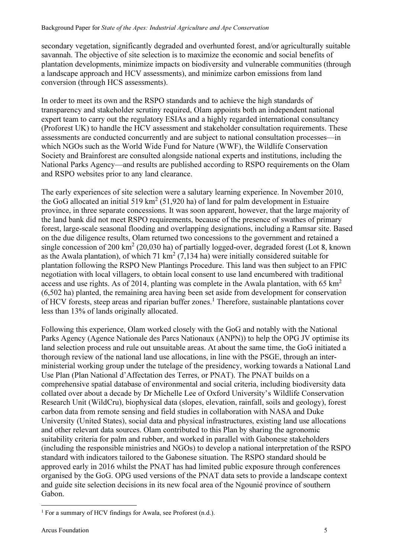secondary vegetation, significantly degraded and overhunted forest, and/or agriculturally suitable savannah. The objective of site selection is to maximize the economic and social benefits of plantation developments, minimize impacts on biodiversity and vulnerable communities (through a landscape approach and HCV assessments), and minimize carbon emissions from land conversion (through HCS assessments).

In order to meet its own and the RSPO standards and to achieve the high standards of transparency and stakeholder scrutiny required, Olam appoints both an independent national expert team to carry out the regulatory ESIAs and a highly regarded international consultancy (Proforest UK) to handle the HCV assessment and stakeholder consultation requirements. These assessments are conducted concurrently and are subject to national consultation processes—in which NGOs such as the World Wide Fund for Nature (WWF), the Wildlife Conservation Society and Brainforest are consulted alongside national experts and institutions, including the National Parks Agency—and results are published according to RSPO requirements on the Olam and RSPO websites prior to any land clearance.

The early experiences of site selection were a salutary learning experience. In November 2010, the GoG allocated an initial 519 km<sup>2</sup> (51,920 ha) of land for palm development in Estuaire province, in three separate concessions. It was soon apparent, however, that the large majority of the land bank did not meet RSPO requirements, because of the presence of swathes of primary forest, large-scale seasonal flooding and overlapping designations, including a Ramsar site. Based on the due diligence results, Olam returned two concessions to the government and retained a single concession of 200 km<sup>2</sup> (20,030 ha) of partially logged-over, degraded forest (Lot 8, known as the Awala plantation), of which 71  $\text{km}^2$  (7,134 ha) were initially considered suitable for plantation following the RSPO New Plantings Procedure. This land was then subject to an FPIC negotiation with local villagers, to obtain local consent to use land encumbered with traditional access and use rights. As of 2014, planting was complete in the Awala plantation, with 65  $\text{km}^2$ (6,502 ha) planted, the remaining area having been set aside from development for conservation of HCV forests, steep areas and riparian buffer zones.<sup>1</sup> Therefore, sustainable plantations cover less than 13% of lands originally allocated.

Following this experience, Olam worked closely with the GoG and notably with the National Parks Agency (Agence Nationale des Parcs Nationaux (ANPN)) to help the OPG JV optimise its land selection process and rule out unsuitable areas. At about the same time, the GoG initiated a thorough review of the national land use allocations, in line with the PSGE, through an interministerial working group under the tutelage of the presidency, working towards a National Land Use Plan (Plan National d'Affectation des Terres, or PNAT). The PNAT builds on a comprehensive spatial database of environmental and social criteria, including biodiversity data collated over about a decade by Dr Michelle Lee of Oxford University's Wildlife Conservation Research Unit (WildCru), biophysical data (slopes, elevation, rainfall, soils and geology), forest carbon data from remote sensing and field studies in collaboration with NASA and Duke University (United States), social data and physical infrastructures, existing land use allocations and other relevant data sources. Olam contributed to this Plan by sharing the agronomic suitability criteria for palm and rubber, and worked in parallel with Gabonese stakeholders (including the responsible ministries and NGOs) to develop a national interpretation of the RSPO standard with indicators tailored to the Gabonese situation. The RSPO standard should be approved early in 2016 whilst the PNAT has had limited public exposure through conferences organised by the GoG. OPG used versions of the PNAT data sets to provide a landscape context and guide site selection decisions in its new focal area of the Ngounié province of southern Gabon.

 $\overline{a}$ 

<sup>&</sup>lt;sup>1</sup> For a summary of HCV findings for Awala, see Proforest (n.d.).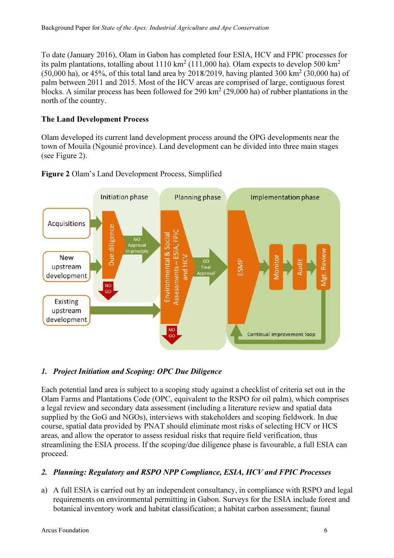To date (January 2016), Olam in Gabon has completed four ESIA, HCV and FPIC processes for its palm plantations, totalling about  $1110 \text{ km}^2$  (111,000 ha). Olam expects to develop 500 km<sup>2</sup>  $(50,000 \text{ ha})$ , or 45%, of this total land area by 2018/2019, having planted 300 km<sup>2</sup> (30,000 ha) of palm between 2011 and 2015. Most of the HCV areas are comprised of large, contiguous forest blocks. A similar process has been followed for 290  $\text{km}^2$  (29,000 ha) of rubber plantations in the north of the country.

# The Land Development Process

Olam developed its current land development process around the OPG developments near the town of Mouila (Ngounié province). Land development can be divided into three main stages (see Figure 2).





# 1. Project Initiation and Scoping: OPC Due Diligence

Each potential land area is subject to a scoping study against a checklist of criteria set out in the Olam Farms and Plantations Code (OPC, equivalent to the RSPO for oil palm), which comprises a legal review and secondary data assessment (including a literature review and spatial data supplied by the GoG and NGOs), interviews with stakeholders and scoping fieldwork. In due course, spatial data provided by PNAT should eliminate most risks of selecting HCV or HCS areas, and allow the operator to assess residual risks that require field verification, thus streamlining the ESIA process. If the scoping/due diligence phase is favourable, a full ESIA can proceed.

# 2. Planning: Regulatory and RSPO NPP Compliance, ESIA, HCV and FPIC Processes

a) A full ESIA is carried out by an independent consultancy, in compliance with RSPO and legal requirements on environmental permitting in Gabon. Surveys for the ESIA include forest and botanical inventory work and habitat classification; a habitat carbon assessment; faunal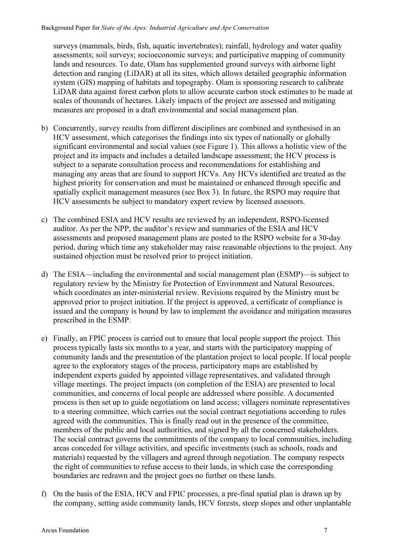surveys (mammals, birds, fish, aquatic invertebrates); rainfall, hydrology and water quality assessments; soil surveys; socioeconomic surveys; and participative mapping of community lands and resources. To date, Olam has supplemented ground surveys with airborne light detection and ranging (LiDAR) at all its sites, which allows detailed geographic information system (GIS) mapping of habitats and topography. Olam is sponsoring research to calibrate LiDAR data against forest carbon plots to allow accurate carbon stock estimates to be made at scales of thousands of hectares. Likely impacts of the project are assessed and mitigating measures are proposed in a draft environmental and social management plan.

- b) Concurrently, survey results from different disciplines are combined and synthesised in an HCV assessment, which categorises the findings into six types of nationally or globally significant environmental and social values (see Figure 1). This allows a holistic view of the project and its impacts and includes a detailed landscape assessment; the HCV process is subject to a separate consultation process and recommendations for establishing and managing any areas that are found to support HCVs. Any HCVs identified are treated as the highest priority for conservation and must be maintained or enhanced through specific and spatially explicit management measures (see Box 3). In future, the RSPO may require that HCV assessments be subject to mandatory expert review by licensed assessors.
- c) The combined ESIA and HCV results are reviewed by an independent, RSPO-licensed auditor. As per the NPP, the auditor's review and summaries of the ESIA and HCV assessments and proposed management plans are posted to the RSPO website for a 30-day period, during which time any stakeholder may raise reasonable objections to the project. Any sustained objection must be resolved prior to project initiation.
- d) The ESIA—including the environmental and social management plan (ESMP)—is subject to regulatory review by the Ministry for Protection of Environment and Natural Resources, which coordinates an inter-ministerial review. Revisions required by the Ministry must be approved prior to project initiation. If the project is approved, a certificate of compliance is issued and the company is bound by law to implement the avoidance and mitigation measures prescribed in the ESMP.
- e) Finally, an FPIC process is carried out to ensure that local people support the project. This process typically lasts six months to a year, and starts with the participatory mapping of community lands and the presentation of the plantation project to local people. If local people agree to the exploratory stages of the process, participatory maps are established by independent experts guided by appointed village representatives, and validated through village meetings. The project impacts (on completion of the ESIA) are presented to local communities, and concerns of local people are addressed where possible. A documented process is then set up to guide negotiations on land access; villagers nominate representatives to a steering committee, which carries out the social contract negotiations according to rules agreed with the communities. This is finally read out in the presence of the committee, members of the public and local authorities, and signed by all the concerned stakeholders. The social contract governs the commitments of the company to local communities, including areas conceded for village activities, and specific investments (such as schools, roads and materials) requested by the villagers and agreed through negotiation. The company respects the right of communities to refuse access to their lands, in which case the corresponding boundaries are redrawn and the project goes no further on these lands.
- f) On the basis of the ESIA, HCV and FPIC processes, a pre-final spatial plan is drawn up by the company, setting aside community lands, HCV forests, steep slopes and other unplantable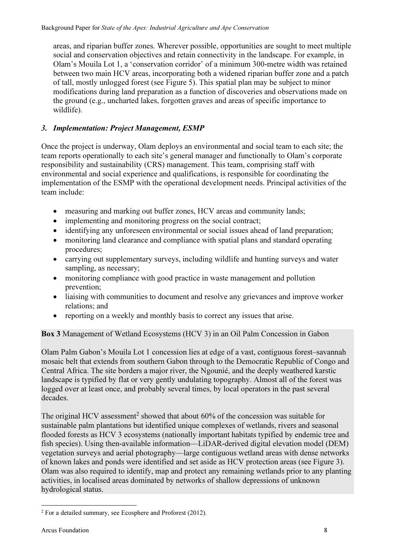areas, and riparian buffer zones. Wherever possible, opportunities are sought to meet multiple social and conservation objectives and retain connectivity in the landscape. For example, in Olam's Mouila Lot 1, a 'conservation corridor' of a minimum 300-metre width was retained between two main HCV areas, incorporating both a widened riparian buffer zone and a patch of tall, mostly unlogged forest (see Figure 5). This spatial plan may be subject to minor modifications during land preparation as a function of discoveries and observations made on the ground (e.g., uncharted lakes, forgotten graves and areas of specific importance to wildlife).

# 3. Implementation: Project Management, ESMP

Once the project is underway, Olam deploys an environmental and social team to each site; the team reports operationally to each site's general manager and functionally to Olam's corporate responsibility and sustainability (CRS) management. This team, comprising staff with environmental and social experience and qualifications, is responsible for coordinating the implementation of the ESMP with the operational development needs. Principal activities of the team include:

- measuring and marking out buffer zones, HCV areas and community lands;
- implementing and monitoring progress on the social contract;
- identifying any unforeseen environmental or social issues ahead of land preparation;
- monitoring land clearance and compliance with spatial plans and standard operating procedures;
- carrying out supplementary surveys, including wildlife and hunting surveys and water sampling, as necessary;
- monitoring compliance with good practice in waste management and pollution prevention;
- liaising with communities to document and resolve any grievances and improve worker relations; and
- reporting on a weekly and monthly basis to correct any issues that arise.

Box 3 Management of Wetland Ecosystems (HCV 3) in an Oil Palm Concession in Gabon

Olam Palm Gabon's Mouila Lot 1 concession lies at edge of a vast, contiguous forest–savannah mosaic belt that extends from southern Gabon through to the Democratic Republic of Congo and Central Africa. The site borders a major river, the Ngounié, and the deeply weathered karstic landscape is typified by flat or very gently undulating topography. Almost all of the forest was logged over at least once, and probably several times, by local operators in the past several decades.

The original HCV assessment<sup>2</sup> showed that about  $60\%$  of the concession was suitable for sustainable palm plantations but identified unique complexes of wetlands, rivers and seasonal flooded forests as HCV 3 ecosystems (nationally important habitats typified by endemic tree and fish species). Using then-available information—LiDAR-derived digital elevation model (DEM) vegetation surveys and aerial photography—large contiguous wetland areas with dense networks of known lakes and ponds were identified and set aside as HCV protection areas (see Figure 3). Olam was also required to identify, map and protect any remaining wetlands prior to any planting activities, in localised areas dominated by networks of shallow depressions of unknown hydrological status.

 $\overline{a}$ 

 $2$  For a detailed summary, see Ecosphere and Proforest (2012).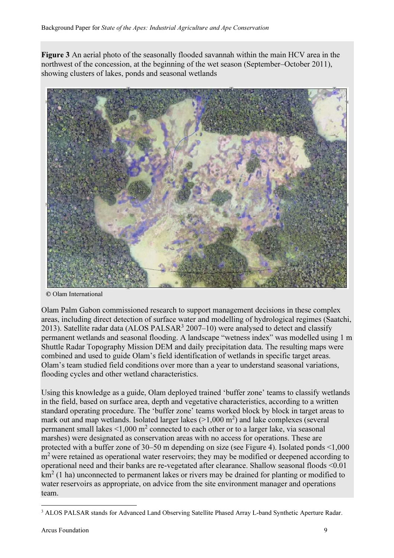Figure 3 An aerial photo of the seasonally flooded savannah within the main HCV area in the northwest of the concession, at the beginning of the wet season (September–October 2011), showing clusters of lakes, ponds and seasonal wetlands



© Olam International

Olam Palm Gabon commissioned research to support management decisions in these complex areas, including direct detection of surface water and modelling of hydrological regimes (Saatchi, 2013). Satellite radar data (ALOS PALSAR $3$  2007–10) were analysed to detect and classify permanent wetlands and seasonal flooding. A landscape "wetness index" was modelled using 1 m Shuttle Radar Topography Mission DEM and daily precipitation data. The resulting maps were combined and used to guide Olam's field identification of wetlands in specific target areas. Olam's team studied field conditions over more than a year to understand seasonal variations, flooding cycles and other wetland characteristics.

Using this knowledge as a guide, Olam deployed trained 'buffer zone' teams to classify wetlands in the field, based on surface area, depth and vegetative characteristics, according to a written standard operating procedure. The 'buffer zone' teams worked block by block in target areas to mark out and map wetlands. Isolated larger lakes  $(>1,000 \text{ m}^2)$  and lake complexes (several permanent small lakes <1,000 m<sup>2</sup> connected to each other or to a larger lake, via seasonal marshes) were designated as conservation areas with no access for operations. These are protected with a buffer zone of 30–50 m depending on size (see Figure 4). Isolated ponds <1,000 m<sup>2</sup> were retained as operational water reservoirs; they may be modified or deepened according to operational need and their banks are re-vegetated after clearance. Shallow seasonal floods <0.01  $km<sup>2</sup>$  (1 ha) unconnected to permanent lakes or rivers may be drained for planting or modified to water reservoirs as appropriate, on advice from the site environment manager and operations team.

 $\overline{a}$ 

<sup>&</sup>lt;sup>3</sup> ALOS PALSAR stands for Advanced Land Observing Satellite Phased Array L-band Synthetic Aperture Radar.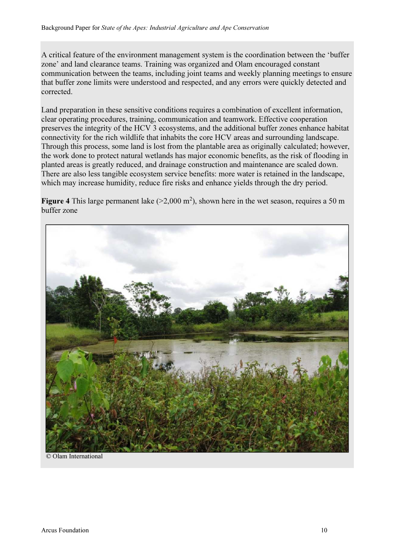A critical feature of the environment management system is the coordination between the 'buffer zone' and land clearance teams. Training was organized and Olam encouraged constant communication between the teams, including joint teams and weekly planning meetings to ensure that buffer zone limits were understood and respected, and any errors were quickly detected and corrected.

Land preparation in these sensitive conditions requires a combination of excellent information, clear operating procedures, training, communication and teamwork. Effective cooperation preserves the integrity of the HCV 3 ecosystems, and the additional buffer zones enhance habitat connectivity for the rich wildlife that inhabits the core HCV areas and surrounding landscape. Through this process, some land is lost from the plantable area as originally calculated; however, the work done to protect natural wetlands has major economic benefits, as the risk of flooding in planted areas is greatly reduced, and drainage construction and maintenance are scaled down. There are also less tangible ecosystem service benefits: more water is retained in the landscape, which may increase humidity, reduce fire risks and enhance yields through the dry period.

Figure 4 This large permanent lake  $(>2,000 \text{ m}^2)$ , shown here in the wet season, requires a 50 m buffer zone



© Olam International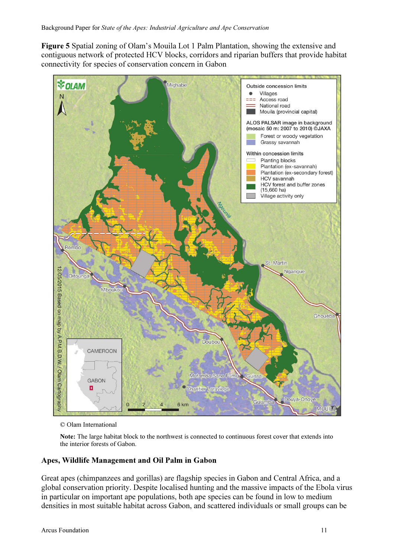Figure 5 Spatial zoning of Olam's Mouila Lot 1 Palm Plantation, showing the extensive and contiguous network of protected HCV blocks, corridors and riparian buffers that provide habitat connectivity for species of conservation concern in Gabon



© Olam International

Note: The large habitat block to the northwest is connected to continuous forest cover that extends into the interior forests of Gabon.

# Apes, Wildlife Management and Oil Palm in Gabon

Great apes (chimpanzees and gorillas) are flagship species in Gabon and Central Africa, and a global conservation priority. Despite localised hunting and the massive impacts of the Ebola virus in particular on important ape populations, both ape species can be found in low to medium densities in most suitable habitat across Gabon, and scattered individuals or small groups can be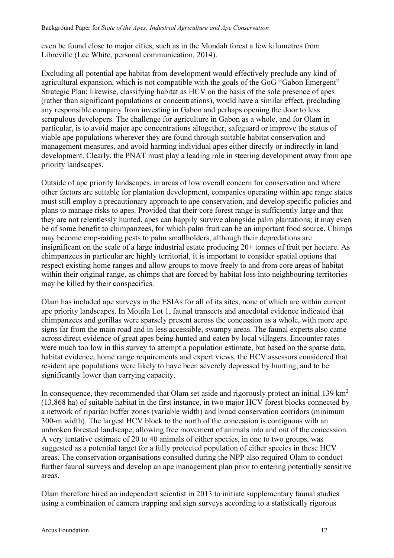even be found close to major cities, such as in the Mondah forest a few kilometres from Libreville (Lee White, personal communication, 2014).

Excluding all potential ape habitat from development would effectively preclude any kind of agricultural expansion, which is not compatible with the goals of the GoG "Gabon Emergent" Strategic Plan; likewise, classifying habitat as HCV on the basis of the sole presence of apes (rather than significant populations or concentrations), would have a similar effect, precluding any responsible company from investing in Gabon and perhaps opening the door to less scrupulous developers. The challenge for agriculture in Gabon as a whole, and for Olam in particular, is to avoid major ape concentrations altogether, safeguard or improve the status of viable ape populations wherever they are found through suitable habitat conservation and management measures, and avoid harming individual apes either directly or indirectly in land development. Clearly, the PNAT must play a leading role in steering development away from ape priority landscapes.

Outside of ape priority landscapes, in areas of low overall concern for conservation and where other factors are suitable for plantation development, companies operating within ape range states must still employ a precautionary approach to ape conservation, and develop specific policies and plans to manage risks to apes. Provided that their core forest range is sufficiently large and that they are not relentlessly hunted, apes can happily survive alongside palm plantations; it may even be of some benefit to chimpanzees, for which palm fruit can be an important food source. Chimps may become crop-raiding pests to palm smallholders, although their depredations are insignificant on the scale of a large industrial estate producing 20+ tonnes of fruit per hectare. As chimpanzees in particular are highly territorial, it is important to consider spatial options that respect existing home ranges and allow groups to move freely to and from core areas of habitat within their original range, as chimps that are forced by habitat loss into neighbouring territories may be killed by their conspecifics.

Olam has included ape surveys in the ESIAs for all of its sites, none of which are within current ape priority landscapes. In Mouila Lot 1, faunal transects and anecdotal evidence indicated that chimpanzees and gorillas were sparsely present across the concession as a whole, with more ape signs far from the main road and in less accessible, swampy areas. The faunal experts also came across direct evidence of great apes being hunted and eaten by local villagers. Encounter rates were much too low in this survey to attempt a population estimate, but based on the sparse data, habitat evidence, home range requirements and expert views, the HCV assessors considered that resident ape populations were likely to have been severely depressed by hunting, and to be significantly lower than carrying capacity.

In consequence, they recommended that Olam set aside and rigorously protect an initial 139 km<sup>2</sup> (13,868 ha) of suitable habitat in the first instance, in two major HCV forest blocks connected by a network of riparian buffer zones (variable width) and broad conservation corridors (minimum 300-m width). The largest HCV block to the north of the concession is contiguous with an unbroken forested landscape, allowing free movement of animals into and out of the concession. A very tentative estimate of 20 to 40 animals of either species, in one to two groups, was suggested as a potential target for a fully protected population of either species in these HCV areas. The conservation organisations consulted during the NPP also required Olam to conduct further faunal surveys and develop an ape management plan prior to entering potentially sensitive areas.

Olam therefore hired an independent scientist in 2013 to initiate supplementary faunal studies using a combination of camera trapping and sign surveys according to a statistically rigorous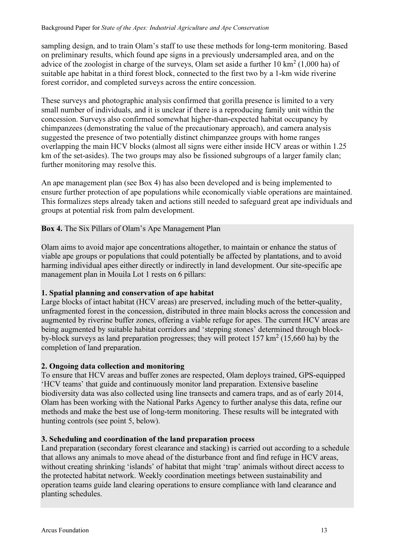sampling design, and to train Olam's staff to use these methods for long-term monitoring. Based on preliminary results, which found ape signs in a previously undersampled area, and on the advice of the zoologist in charge of the surveys, Olam set aside a further  $10 \text{ km}^2 (1,000 \text{ ha})$  of suitable ape habitat in a third forest block, connected to the first two by a 1-km wide riverine forest corridor, and completed surveys across the entire concession.

These surveys and photographic analysis confirmed that gorilla presence is limited to a very small number of individuals, and it is unclear if there is a reproducing family unit within the concession. Surveys also confirmed somewhat higher-than-expected habitat occupancy by chimpanzees (demonstrating the value of the precautionary approach), and camera analysis suggested the presence of two potentially distinct chimpanzee groups with home ranges overlapping the main HCV blocks (almost all signs were either inside HCV areas or within 1.25 km of the set-asides). The two groups may also be fissioned subgroups of a larger family clan; further monitoring may resolve this.

An ape management plan (see Box 4) has also been developed and is being implemented to ensure further protection of ape populations while economically viable operations are maintained. This formalizes steps already taken and actions still needed to safeguard great ape individuals and groups at potential risk from palm development.

# Box 4. The Six Pillars of Olam's Ape Management Plan

Olam aims to avoid major ape concentrations altogether, to maintain or enhance the status of viable ape groups or populations that could potentially be affected by plantations, and to avoid harming individual apes either directly or indirectly in land development. Our site-specific ape management plan in Mouila Lot 1 rests on 6 pillars:

# 1. Spatial planning and conservation of ape habitat

Large blocks of intact habitat (HCV areas) are preserved, including much of the better-quality, unfragmented forest in the concession, distributed in three main blocks across the concession and augmented by riverine buffer zones, offering a viable refuge for apes. The current HCV areas are being augmented by suitable habitat corridors and 'stepping stones' determined through blockby-block surveys as land preparation progresses; they will protect 157 km<sup>2</sup> (15,660 ha) by the completion of land preparation.

# 2. Ongoing data collection and monitoring

To ensure that HCV areas and buffer zones are respected, Olam deploys trained, GPS-equipped 'HCV teams' that guide and continuously monitor land preparation. Extensive baseline biodiversity data was also collected using line transects and camera traps, and as of early 2014, Olam has been working with the National Parks Agency to further analyse this data, refine our methods and make the best use of long-term monitoring. These results will be integrated with hunting controls (see point 5, below).

# 3. Scheduling and coordination of the land preparation process

Land preparation (secondary forest clearance and stacking) is carried out according to a schedule that allows any animals to move ahead of the disturbance front and find refuge in HCV areas, without creating shrinking 'islands' of habitat that might 'trap' animals without direct access to the protected habitat network. Weekly coordination meetings between sustainability and operation teams guide land clearing operations to ensure compliance with land clearance and planting schedules.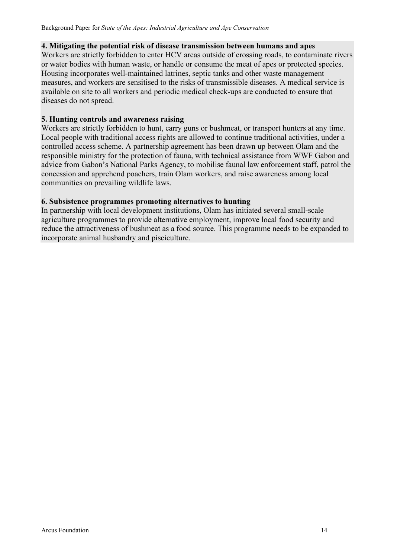#### 4. Mitigating the potential risk of disease transmission between humans and apes

Workers are strictly forbidden to enter HCV areas outside of crossing roads, to contaminate rivers or water bodies with human waste, or handle or consume the meat of apes or protected species. Housing incorporates well-maintained latrines, septic tanks and other waste management measures, and workers are sensitised to the risks of transmissible diseases. A medical service is available on site to all workers and periodic medical check-ups are conducted to ensure that diseases do not spread.

#### 5. Hunting controls and awareness raising

Workers are strictly forbidden to hunt, carry guns or bushmeat, or transport hunters at any time. Local people with traditional access rights are allowed to continue traditional activities, under a controlled access scheme. A partnership agreement has been drawn up between Olam and the responsible ministry for the protection of fauna, with technical assistance from WWF Gabon and advice from Gabon's National Parks Agency, to mobilise faunal law enforcement staff, patrol the concession and apprehend poachers, train Olam workers, and raise awareness among local communities on prevailing wildlife laws.

#### 6. Subsistence programmes promoting alternatives to hunting

In partnership with local development institutions, Olam has initiated several small-scale agriculture programmes to provide alternative employment, improve local food security and reduce the attractiveness of bushmeat as a food source. This programme needs to be expanded to incorporate animal husbandry and pisciculture.